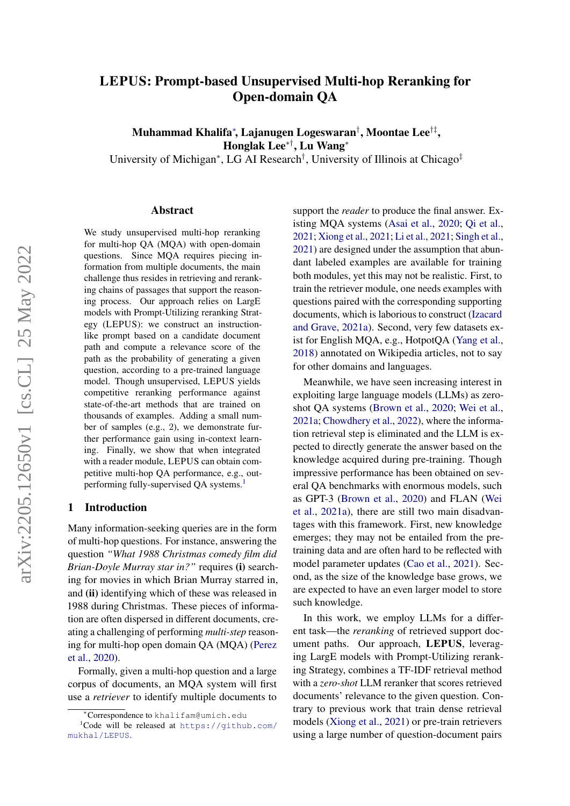# LEPUS: Prompt-based Unsupervised Multi-hop Reranking for Open-domain QA

Muhammad Khalifa<sup>∗</sup> , Lajanugen Logeswaran† , Moontae Lee†‡ , Honglak Lee∗†, Lu Wang<sup>∗</sup>

University of Michigan<sup>∗</sup>, LG AI Research<sup>†</sup>, University of Illinois at Chicago<sup>‡</sup>

### Abstract

We study unsupervised multi-hop reranking for multi-hop QA (MQA) with open-domain questions. Since MQA requires piecing information from multiple documents, the main challenge thus resides in retrieving and reranking chains of passages that support the reasoning process. Our approach relies on LargE models with Prompt-Utilizing reranking Strategy (LEPUS): we construct an instructionlike prompt based on a candidate document path and compute a relevance score of the path as the probability of generating a given question, according to a pre-trained language model. Though unsupervised, LEPUS yields competitive reranking performance against state-of-the-art methods that are trained on thousands of examples. Adding a small number of samples (e.g., 2), we demonstrate further performance gain using in-context learning. Finally, we show that when integrated with a reader module, LEPUS can obtain competitive multi-hop QA performance, e.g., out-performing fully-supervised QA systems.<sup>[1](#page-0-0)</sup>

### 1 Introduction

Many information-seeking queries are in the form of multi-hop questions. For instance, answering the question *"What 1988 Christmas comedy film did Brian-Doyle Murray star in?"* requires (i) searching for movies in which Brian Murray starred in, and (ii) identifying which of these was released in 1988 during Christmas. These pieces of information are often dispersed in different documents, creating a challenging of performing *multi-step* reasoning for multi-hop open domain QA (MQA) [\(Perez](#page-9-0) [et al.,](#page-9-0) [2020\)](#page-9-0).

Formally, given a multi-hop question and a large corpus of documents, an MQA system will first use a *retriever* to identify multiple documents to support the *reader* to produce the final answer. Existing MQA systems [\(Asai et al.,](#page-8-0) [2020;](#page-8-0) [Qi et al.,](#page-10-0) [2021;](#page-10-0) [Xiong et al.,](#page-10-1) [2021;](#page-10-1) [Li et al.,](#page-9-1) [2021;](#page-9-1) [Singh et al.,](#page-10-2) [2021\)](#page-10-2) are designed under the assumption that abundant labeled examples are available for training both modules, yet this may not be realistic. First, to train the retriever module, one needs examples with questions paired with the corresponding supporting documents, which is laborious to construct [\(Izacard](#page-9-2) [and Grave,](#page-9-2) [2021a\)](#page-9-2). Second, very few datasets exist for English MQA, e.g., HotpotQA [\(Yang et al.,](#page-10-3) [2018\)](#page-10-3) annotated on Wikipedia articles, not to say for other domains and languages.

Meanwhile, we have seen increasing interest in exploiting large language models (LLMs) as zeroshot QA systems [\(Brown et al.,](#page-8-1) [2020;](#page-8-1) [Wei et al.,](#page-10-4) [2021a;](#page-10-4) [Chowdhery et al.,](#page-8-2) [2022\)](#page-8-2), where the information retrieval step is eliminated and the LLM is expected to directly generate the answer based on the knowledge acquired during pre-training. Though impressive performance has been obtained on several QA benchmarks with enormous models, such as GPT-3 [\(Brown et al.,](#page-8-1) [2020\)](#page-8-1) and FLAN [\(Wei](#page-10-4) [et al.,](#page-10-4) [2021a\)](#page-10-4), there are still two main disadvantages with this framework. First, new knowledge emerges; they may not be entailed from the pretraining data and are often hard to be reflected with model parameter updates [\(Cao et al.,](#page-8-3) [2021\)](#page-8-3). Second, as the size of the knowledge base grows, we are expected to have an even larger model to store such knowledge.

In this work, we employ LLMs for a different task—the *reranking* of retrieved support document paths. Our approach, LEPUS, leveraging LargE models with Prompt-Utilizing reranking Strategy, combines a TF-IDF retrieval method with a *zero-shot* LLM reranker that scores retrieved documents' relevance to the given question. Contrary to previous work that train dense retrieval models [\(Xiong et al.,](#page-10-1) [2021\)](#page-10-1) or pre-train retrievers using a large number of question-document pairs

<span id="page-0-0"></span><sup>∗</sup>Correspondence to khalifam@umich.edu

 $1$ Code will be released at [https://github.com/](https://github.com/mukhal/LEPUS) [mukhal/LEPUS](https://github.com/mukhal/LEPUS).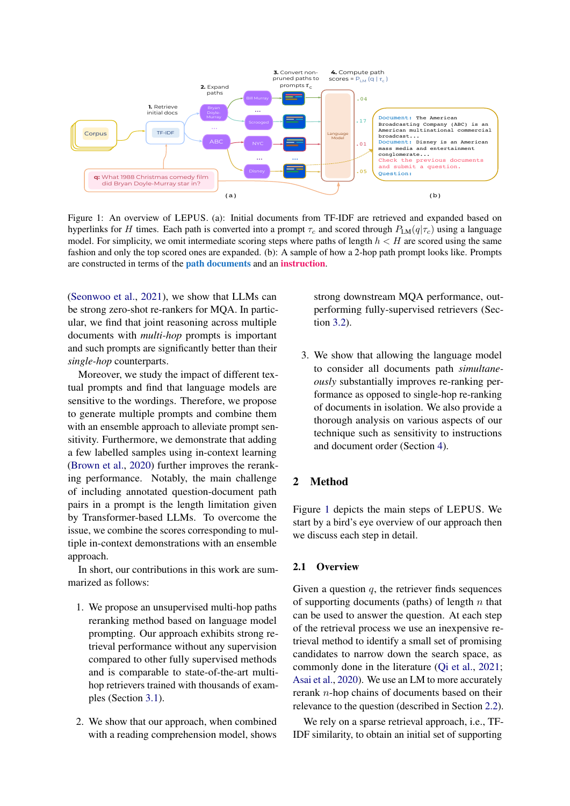<span id="page-1-0"></span>

Figure 1: An overview of LEPUS. (a): Initial documents from TF-IDF are retrieved and expanded based on hyperlinks for H times. Each path is converted into a prompt  $\tau_c$  and scored through  $P_{LM}(q|\tau_c)$  using a language model. For simplicity, we omit intermediate scoring steps where paths of length  $h < H$  are scored using the same fashion and only the top scored ones are expanded. (b): A sample of how a 2-hop path prompt looks like. Prompts are constructed in terms of the path documents and an instruction.

[\(Seonwoo et al.,](#page-10-5) [2021\)](#page-10-5), we show that LLMs can be strong zero-shot re-rankers for MQA. In particular, we find that joint reasoning across multiple documents with *multi-hop* prompts is important and such prompts are significantly better than their *single-hop* counterparts.

Moreover, we study the impact of different textual prompts and find that language models are sensitive to the wordings. Therefore, we propose to generate multiple prompts and combine them with an ensemble approach to alleviate prompt sensitivity. Furthermore, we demonstrate that adding a few labelled samples using in-context learning [\(Brown et al.,](#page-8-1) [2020\)](#page-8-1) further improves the reranking performance. Notably, the main challenge of including annotated question-document path pairs in a prompt is the length limitation given by Transformer-based LLMs. To overcome the issue, we combine the scores corresponding to multiple in-context demonstrations with an ensemble approach.

In short, our contributions in this work are summarized as follows:

- 1. We propose an unsupervised multi-hop paths reranking method based on language model prompting. Our approach exhibits strong retrieval performance without any supervision compared to other fully supervised methods and is comparable to state-of-the-art multihop retrievers trained with thousands of examples (Section [3.1\)](#page-4-0).
- 2. We show that our approach, when combined with a reading comprehension model, shows

strong downstream MQA performance, outperforming fully-supervised retrievers (Section [3.2\)](#page-5-0).

3. We show that allowing the language model to consider all documents path *simultaneously* substantially improves re-ranking performance as opposed to single-hop re-ranking of documents in isolation. We also provide a thorough analysis on various aspects of our technique such as sensitivity to instructions and document order (Section [4\)](#page-5-1).

# 2 Method

Figure [1](#page-1-0) depicts the main steps of LEPUS. We start by a bird's eye overview of our approach then we discuss each step in detail.

### 2.1 Overview

Given a question  $q$ , the retriever finds sequences of supporting documents (paths) of length  $n$  that can be used to answer the question. At each step of the retrieval process we use an inexpensive retrieval method to identify a small set of promising candidates to narrow down the search space, as commonly done in the literature [\(Qi et al.,](#page-10-0) [2021;](#page-10-0) [Asai et al.,](#page-8-0) [2020\)](#page-8-0). We use an LM to more accurately rerank n-hop chains of documents based on their relevance to the question (described in Section [2.2\)](#page-2-0).

We rely on a sparse retrieval approach, *i.e.*, TF-IDF similarity, to obtain an initial set of supporting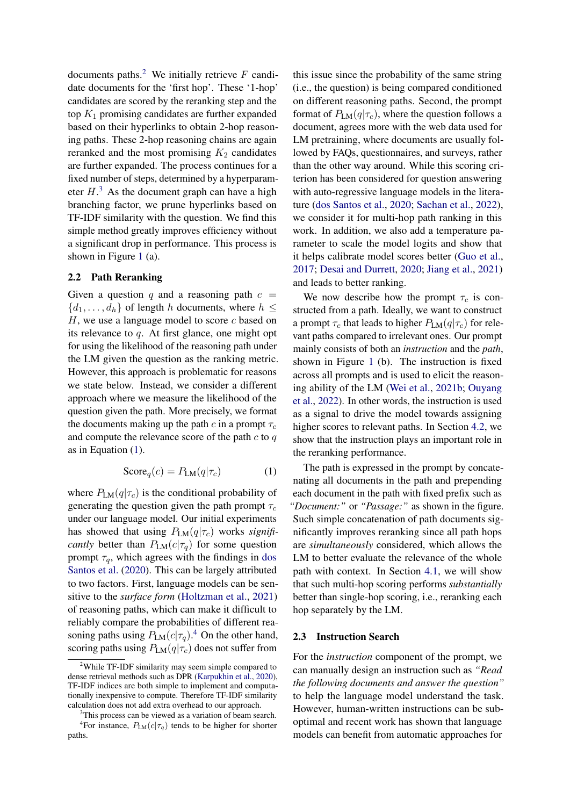documents paths.<sup>[2](#page-2-1)</sup> We initially retrieve  $F$  candidate documents for the 'first hop'. These '1-hop' candidates are scored by the reranking step and the top  $K_1$  promising candidates are further expanded based on their hyperlinks to obtain 2-hop reasoning paths. These 2-hop reasoning chains are again reranked and the most promising  $K_2$  candidates are further expanded. The process continues for a fixed number of steps, determined by a hyperparameter  $H<sup>3</sup>$  $H<sup>3</sup>$  $H<sup>3</sup>$ . As the document graph can have a high branching factor, we prune hyperlinks based on TF-IDF similarity with the question. We find this simple method greatly improves efficiency without a significant drop in performance. This process is shown in Figure [1](#page-1-0) (a).

### <span id="page-2-0"></span>2.2 Path Reranking

Given a question q and a reasoning path  $c =$  ${d_1, \ldots, d_h}$  of length h documents, where  $h \leq$  $H$ , we use a language model to score  $c$  based on its relevance to q. At first glance, one might opt for using the likelihood of the reasoning path under the LM given the question as the ranking metric. However, this approach is problematic for reasons we state below. Instead, we consider a different approach where we measure the likelihood of the question given the path. More precisely, we format the documents making up the path c in a prompt  $\tau_c$ and compute the relevance score of the path  $c$  to  $q$ as in Equation [\(1\)](#page-2-3).

<span id="page-2-3"></span>
$$
Score_q(c) = P_{LM}(q|\tau_c)
$$
 (1)

where  $P_{LM}(q|\tau_c)$  is the conditional probability of generating the question given the path prompt  $\tau_c$ under our language model. Our initial experiments has showed that using  $P_{LM}(q|\tau_c)$  works *significantly* better than  $P_{LM}(c|\tau_q)$  for some question prompt  $\tau_q$ , which agrees with the findings in [dos](#page-8-4) [Santos et al.](#page-8-4) [\(2020\)](#page-8-4). This can be largely attributed to two factors. First, language models can be sensitive to the *surface form* [\(Holtzman et al.,](#page-9-3) [2021\)](#page-9-3) of reasoning paths, which can make it difficult to reliably compare the probabilities of different reasoning paths using  $P_{LM}(c|\tau_q)$ .<sup>[4](#page-2-4)</sup> On the other hand, scoring paths using  $P_{LM}(q|\tau_c)$  does not suffer from

this issue since the probability of the same string (i.e., the question) is being compared conditioned on different reasoning paths. Second, the prompt format of  $P_{LM}(q|\tau_c)$ , where the question follows a document, agrees more with the web data used for LM pretraining, where documents are usually followed by FAQs, questionnaires, and surveys, rather than the other way around. While this scoring criterion has been considered for question answering with auto-regressive language models in the literature [\(dos Santos et al.,](#page-8-4) [2020;](#page-8-4) [Sachan et al.,](#page-10-6) [2022\)](#page-10-6), we consider it for multi-hop path ranking in this work. In addition, we also add a temperature parameter to scale the model logits and show that it helps calibrate model scores better [\(Guo et al.,](#page-9-5) [2017;](#page-9-5) [Desai and Durrett,](#page-8-5) [2020;](#page-8-5) [Jiang et al.,](#page-9-6) [2021\)](#page-9-6) and leads to better ranking.

We now describe how the prompt  $\tau_c$  is constructed from a path. Ideally, we want to construct a prompt  $\tau_c$  that leads to higher  $P_{LM}(q|\tau_c)$  for relevant paths compared to irrelevant ones. Our prompt mainly consists of both an *instruction* and the *path*, shown in Figure [1](#page-1-0) (b). The instruction is fixed across all prompts and is used to elicit the reasoning ability of the LM [\(Wei et al.,](#page-10-7) [2021b;](#page-10-7) [Ouyang](#page-9-7) [et al.,](#page-9-7) [2022\)](#page-9-7). In other words, the instruction is used as a signal to drive the model towards assigning higher scores to relevant paths. In Section [4.2,](#page-6-0) we show that the instruction plays an important role in the reranking performance.

The path is expressed in the prompt by concatenating all documents in the path and prepending each document in the path with fixed prefix such as *"Document:"* or *"Passage:"* as shown in the figure. Such simple concatenation of path documents significantly improves reranking since all path hops are *simultaneously* considered, which allows the LM to better evaluate the relevance of the whole path with context. In Section [4.1,](#page-5-2) we will show that such multi-hop scoring performs *substantially* better than single-hop scoring, i.e., reranking each hop separately by the LM.

### <span id="page-2-5"></span>2.3 Instruction Search

For the *instruction* component of the prompt, we can manually design an instruction such as *"Read the following documents and answer the question"* to help the language model understand the task. However, human-written instructions can be suboptimal and recent work has shown that language models can benefit from automatic approaches for

<span id="page-2-1"></span> $2$ While TF-IDF similarity may seem simple compared to dense retrieval methods such as DPR [\(Karpukhin et al.,](#page-9-4) [2020\)](#page-9-4), TF-IDF indices are both simple to implement and computationally inexpensive to compute. Therefore TF-IDF similarity calculation does not add extra overhead to our approach.

<span id="page-2-4"></span><span id="page-2-2"></span><sup>&</sup>lt;sup>3</sup>This process can be viewed as a variation of beam search. <sup>4</sup>For instance,  $P_{LM}(c|\tau_q)$  tends to be higher for shorter paths.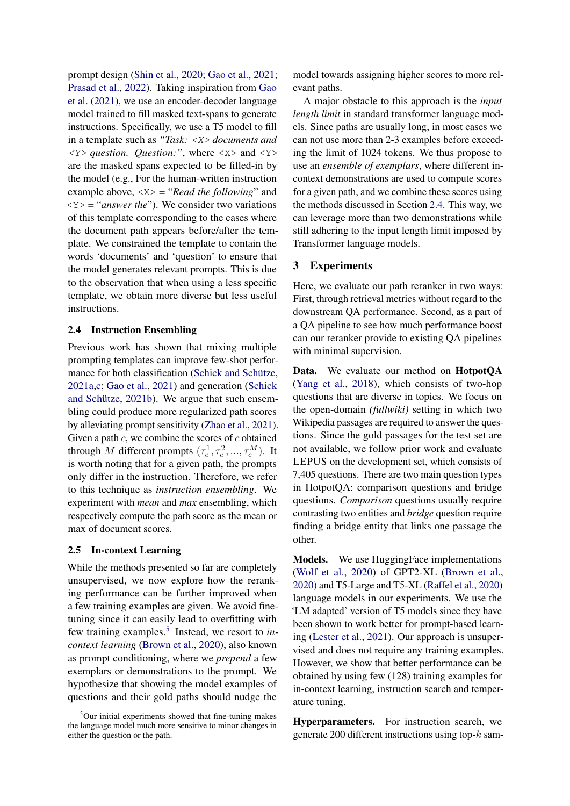prompt design [\(Shin et al.,](#page-10-8) [2020;](#page-10-8) [Gao et al.,](#page-9-8) [2021;](#page-9-8) [Prasad et al.,](#page-10-9) [2022\)](#page-10-9). Taking inspiration from [Gao](#page-9-8) [et al.](#page-9-8) [\(2021\)](#page-9-8), we use an encoder-decoder language model trained to fill masked text-spans to generate instructions. Specifically, we use a T5 model to fill in a template such as *"Task:* <X> *documents and* <Y> *question. Question:"*, where <X> and <Y> are the masked spans expected to be filled-in by the model (e.g., For the human-written instruction example above, <X> = "*Read the following*" and <Y> = "*answer the*"). We consider two variations of this template corresponding to the cases where the document path appears before/after the template. We constrained the template to contain the words 'documents' and 'question' to ensure that the model generates relevant prompts. This is due to the observation that when using a less specific template, we obtain more diverse but less useful instructions.

### <span id="page-3-1"></span>2.4 Instruction Ensembling

Previous work has shown that mixing multiple prompting templates can improve few-shot performance for both classification [\(Schick and Schütze,](#page-10-10) [2021a,](#page-10-10)[c;](#page-10-11) [Gao et al.,](#page-9-8) [2021\)](#page-9-8) and generation [\(Schick](#page-10-12) [and Schütze,](#page-10-12) [2021b\)](#page-10-12). We argue that such ensembling could produce more regularized path scores by alleviating prompt sensitivity [\(Zhao et al.,](#page-10-13) [2021\)](#page-10-13). Given a path  $c$ , we combine the scores of  $c$  obtained through M different prompts  $(\tau_c^1, \tau_c^2, ..., \tau_c^M)$ . It is worth noting that for a given path, the prompts only differ in the instruction. Therefore, we refer to this technique as *instruction ensembling*. We experiment with *mean* and *max* ensembling, which respectively compute the path score as the mean or max of document scores.

### <span id="page-3-2"></span>2.5 In-context Learning

While the methods presented so far are completely unsupervised, we now explore how the reranking performance can be further improved when a few training examples are given. We avoid finetuning since it can easily lead to overfitting with few training examples.<sup>[5](#page-3-0)</sup> Instead, we resort to *incontext learning* [\(Brown et al.,](#page-8-1) [2020\)](#page-8-1), also known as prompt conditioning, where we *prepend* a few exemplars or demonstrations to the prompt. We hypothesize that showing the model examples of questions and their gold paths should nudge the

model towards assigning higher scores to more relevant paths.

A major obstacle to this approach is the *input length limit* in standard transformer language models. Since paths are usually long, in most cases we can not use more than 2-3 examples before exceeding the limit of 1024 tokens. We thus propose to use an *ensemble of exemplars*, where different incontext demonstrations are used to compute scores for a given path, and we combine these scores using the methods discussed in Section [2.4.](#page-3-1) This way, we can leverage more than two demonstrations while still adhering to the input length limit imposed by Transformer language models.

# 3 Experiments

Here, we evaluate our path reranker in two ways: First, through retrieval metrics without regard to the downstream QA performance. Second, as a part of a QA pipeline to see how much performance boost can our reranker provide to existing QA pipelines with minimal supervision.

Data. We evaluate our method on HotpotQA [\(Yang et al.,](#page-10-3) [2018\)](#page-10-3), which consists of two-hop questions that are diverse in topics. We focus on the open-domain *(fullwiki)* setting in which two Wikipedia passages are required to answer the questions. Since the gold passages for the test set are not available, we follow prior work and evaluate LEPUS on the development set, which consists of 7,405 questions. There are two main question types in HotpotQA: comparison questions and bridge questions. *Comparison* questions usually require contrasting two entities and *bridge* question require finding a bridge entity that links one passage the other.

Models. We use HuggingFace implementations [\(Wolf et al.,](#page-10-14) [2020\)](#page-10-14) of GPT2-XL [\(Brown et al.,](#page-8-1) [2020\)](#page-8-1) and T5-Large and T5-XL [\(Raffel et al.,](#page-10-15) [2020\)](#page-10-15) language models in our experiments. We use the 'LM adapted' version of T5 models since they have been shown to work better for prompt-based learning [\(Lester et al.,](#page-9-9) [2021\)](#page-9-9). Our approach is unsupervised and does not require any training examples. However, we show that better performance can be obtained by using few (128) training examples for in-context learning, instruction search and temperature tuning.

Hyperparameters. For instruction search, we generate 200 different instructions using top- $k$  sam-

<span id="page-3-0"></span> $5$ Our initial experiments showed that fine-tuning makes the language model much more sensitive to minor changes in either the question or the path.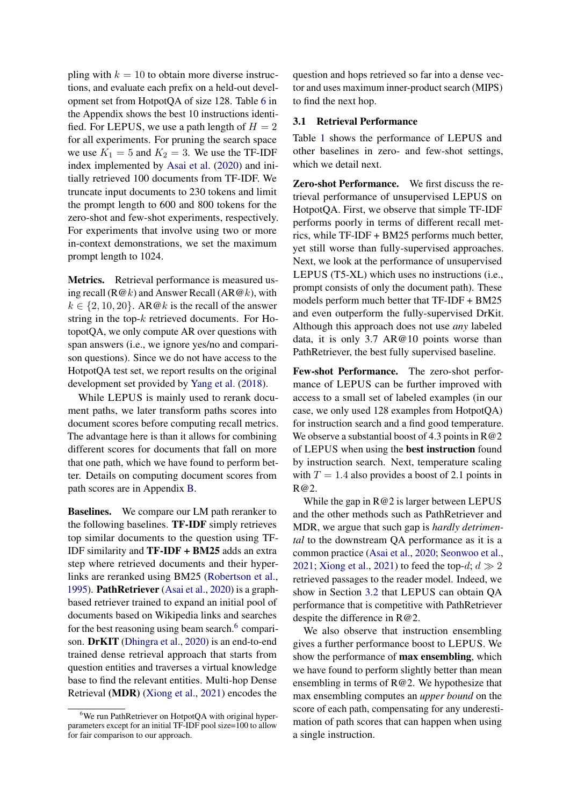pling with  $k = 10$  to obtain more diverse instructions, and evaluate each prefix on a held-out development set from HotpotQA of size 128. Table [6](#page-13-0) in the Appendix shows the best 10 instructions identified. For LEPUS, we use a path length of  $H = 2$ for all experiments. For pruning the search space we use  $K_1 = 5$  and  $K_2 = 3$ . We use the TF-IDF index implemented by [Asai et al.](#page-8-0) [\(2020\)](#page-8-0) and initially retrieved 100 documents from TF-IDF. We truncate input documents to 230 tokens and limit the prompt length to 600 and 800 tokens for the zero-shot and few-shot experiments, respectively. For experiments that involve using two or more in-context demonstrations, we set the maximum prompt length to 1024.

Metrics. Retrieval performance is measured using recall ( $R@k$ ) and Answer Recall ( $AR@k$ ), with  $k \in \{2, 10, 20\}$ . AR@k is the recall of the answer string in the top- $k$  retrieved documents. For HotopotQA, we only compute AR over questions with span answers (i.e., we ignore yes/no and comparison questions). Since we do not have access to the HotpotQA test set, we report results on the original development set provided by [Yang et al.](#page-10-3) [\(2018\)](#page-10-3).

While LEPUS is mainly used to rerank document paths, we later transform paths scores into document scores before computing recall metrics. The advantage here is than it allows for combining different scores for documents that fall on more that one path, which we have found to perform better. Details on computing document scores from path scores are in Appendix [B.](#page-12-0)

Baselines. We compare our LM path reranker to the following baselines. TF-IDF simply retrieves top similar documents to the question using TF-IDF similarity and TF-IDF + BM25 adds an extra step where retrieved documents and their hyperlinks are reranked using BM25 [\(Robertson et al.,](#page-10-16) [1995\)](#page-10-16). PathRetriever [\(Asai et al.,](#page-8-0) [2020\)](#page-8-0) is a graphbased retriever trained to expand an initial pool of documents based on Wikipedia links and searches for the best reasoning using beam search.<sup>[6](#page-4-1)</sup> comparison. DrKIT [\(Dhingra et al.,](#page-8-6) [2020\)](#page-8-6) is an end-to-end trained dense retrieval approach that starts from question entities and traverses a virtual knowledge base to find the relevant entities. Multi-hop Dense Retrieval (MDR) [\(Xiong et al.,](#page-10-1) [2021\)](#page-10-1) encodes the

question and hops retrieved so far into a dense vector and uses maximum inner-product search (MIPS) to find the next hop.

### <span id="page-4-0"></span>3.1 Retrieval Performance

Table [1](#page-5-3) shows the performance of LEPUS and other baselines in zero- and few-shot settings, which we detail next.

Zero-shot Performance. We first discuss the retrieval performance of unsupervised LEPUS on HotpotQA. First, we observe that simple TF-IDF performs poorly in terms of different recall metrics, while TF-IDF + BM25 performs much better, yet still worse than fully-supervised approaches. Next, we look at the performance of unsupervised LEPUS (T5-XL) which uses no instructions (i.e., prompt consists of only the document path). These models perform much better that TF-IDF + BM25 and even outperform the fully-supervised DrKit. Although this approach does not use *any* labeled data, it is only 3.7 AR@10 points worse than PathRetriever, the best fully supervised baseline.

Few-shot Performance. The zero-shot performance of LEPUS can be further improved with access to a small set of labeled examples (in our case, we only used 128 examples from HotpotQA) for instruction search and a find good temperature. We observe a substantial boost of 4.3 points in  $R@2$ of LEPUS when using the best instruction found by instruction search. Next, temperature scaling with  $T = 1.4$  also provides a boost of 2.1 points in R@2.

While the gap in R@2 is larger between LEPUS and the other methods such as PathRetriever and MDR, we argue that such gap is *hardly detrimental* to the downstream QA performance as it is a common practice [\(Asai et al.,](#page-8-0) [2020;](#page-8-0) [Seonwoo et al.,](#page-10-5) [2021;](#page-10-5) [Xiong et al.,](#page-10-1) [2021\)](#page-10-1) to feed the top-d;  $d \gg 2$ retrieved passages to the reader model. Indeed, we show in Section [3.2](#page-5-0) that LEPUS can obtain QA performance that is competitive with PathRetriever despite the difference in R@2.

We also observe that instruction ensembling gives a further performance boost to LEPUS. We show the performance of max ensembling, which we have found to perform slightly better than mean ensembling in terms of R@2. We hypothesize that max ensembling computes an *upper bound* on the score of each path, compensating for any underestimation of path scores that can happen when using a single instruction.

<span id="page-4-1"></span><sup>6</sup>We run PathRetriever on HotpotQA with original hyperparameters except for an initial TF-IDF pool size=100 to allow for fair comparison to our approach.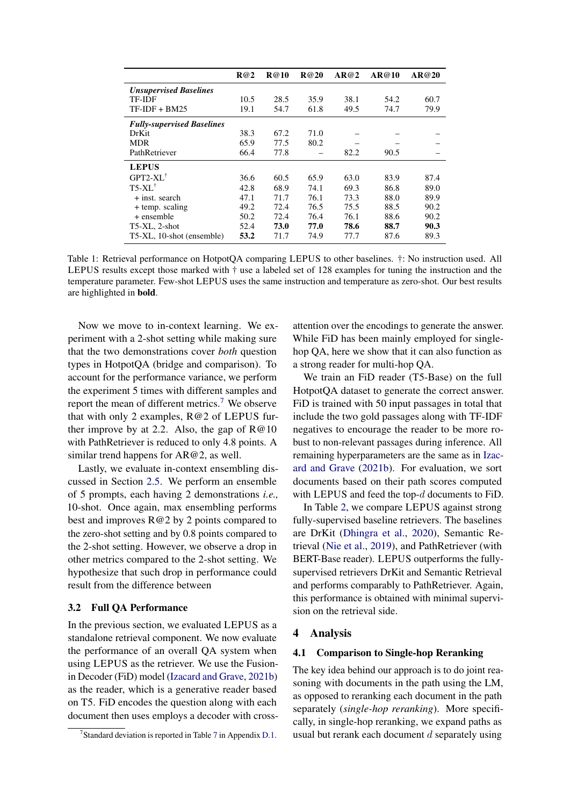<span id="page-5-3"></span>

|                                   | R@2  | <b>R@10</b> | R@20 | AR@2 | AR@10 | AR@20 |
|-----------------------------------|------|-------------|------|------|-------|-------|
| <b>Unsupervised Baselines</b>     |      |             |      |      |       |       |
| <b>TF-IDF</b>                     | 10.5 | 28.5        | 35.9 | 38.1 | 54.2  | 60.7  |
| $TF-IDF + BM25$                   | 19.1 | 54.7        | 61.8 | 49.5 | 74.7  | 79.9  |
| <b>Fully-supervised Baselines</b> |      |             |      |      |       |       |
| DrKit                             | 38.3 | 67.2        | 71.0 |      |       |       |
| <b>MDR</b>                        | 65.9 | 77.5        | 80.2 |      |       |       |
| PathRetriever                     | 66.4 | 77.8        |      | 82.2 | 90.5  |       |
| <b>LEPUS</b>                      |      |             |      |      |       |       |
| $GPT2-XL^{\dagger}$               | 36.6 | 60.5        | 65.9 | 63.0 | 83.9  | 87.4  |
| $T5-XL^{\dagger}$                 | 42.8 | 68.9        | 74.1 | 69.3 | 86.8  | 89.0  |
| + inst. search                    | 47.1 | 71.7        | 76.1 | 73.3 | 88.0  | 89.9  |
| + temp. scaling                   | 49.2 | 72.4        | 76.5 | 75.5 | 88.5  | 90.2  |
| + ensemble                        | 50.2 | 72.4        | 76.4 | 76.1 | 88.6  | 90.2  |
| T5-XL, 2-shot                     | 52.4 | 73.0        | 77.0 | 78.6 | 88.7  | 90.3  |
| T5-XL, 10-shot (ensemble)         | 53.2 | 71.7        | 74.9 | 77.7 | 87.6  | 89.3  |

Table 1: Retrieval performance on HotpotQA comparing LEPUS to other baselines. †: No instruction used. All LEPUS results except those marked with † use a labeled set of 128 examples for tuning the instruction and the temperature parameter. Few-shot LEPUS uses the same instruction and temperature as zero-shot. Our best results are highlighted in bold.

Now we move to in-context learning. We experiment with a 2-shot setting while making sure that the two demonstrations cover *both* question types in HotpotQA (bridge and comparison). To account for the performance variance, we perform the experiment 5 times with different samples and report the mean of different metrics.<sup>[7](#page-5-4)</sup> We observe that with only 2 examples, R@2 of LEPUS further improve by at 2.2. Also, the gap of  $R@10$ with PathRetriever is reduced to only 4.8 points. A similar trend happens for AR@2, as well.

Lastly, we evaluate in-context ensembling discussed in Section [2.5.](#page-3-2) We perform an ensemble of 5 prompts, each having 2 demonstrations *i.e.,* 10-shot. Once again, max ensembling performs best and improves R@2 by 2 points compared to the zero-shot setting and by 0.8 points compared to the 2-shot setting. However, we observe a drop in other metrics compared to the 2-shot setting. We hypothesize that such drop in performance could result from the difference between

### <span id="page-5-0"></span>3.2 Full QA Performance

In the previous section, we evaluated LEPUS as a standalone retrieval component. We now evaluate the performance of an overall QA system when using LEPUS as the retriever. We use the Fusionin Decoder (FiD) model [\(Izacard and Grave,](#page-9-10) [2021b\)](#page-9-10) as the reader, which is a generative reader based on T5. FiD encodes the question along with each document then uses employs a decoder with crossattention over the encodings to generate the answer. While FiD has been mainly employed for singlehop QA, here we show that it can also function as a strong reader for multi-hop QA.

We train an FiD reader (T5-Base) on the full HotpotQA dataset to generate the correct answer. FiD is trained with 50 input passages in total that include the two gold passages along with TF-IDF negatives to encourage the reader to be more robust to non-relevant passages during inference. All remaining hyperparameters are the same as in [Izac](#page-9-10)[ard and Grave](#page-9-10) [\(2021b\)](#page-9-10). For evaluation, we sort documents based on their path scores computed with LEPUS and feed the top-d documents to FiD.

In Table [2,](#page-6-1) we compare LEPUS against strong fully-supervised baseline retrievers. The baselines are DrKit [\(Dhingra et al.,](#page-8-6) [2020\)](#page-8-6), Semantic Retrieval [\(Nie et al.,](#page-9-11) [2019\)](#page-9-11), and PathRetriever (with BERT-Base reader). LEPUS outperforms the fullysupervised retrievers DrKit and Semantic Retrieval and performs comparably to PathRetriever. Again, this performance is obtained with minimal supervision on the retrieval side.

### <span id="page-5-1"></span>4 Analysis

### <span id="page-5-2"></span>4.1 Comparison to Single-hop Reranking

The key idea behind our approach is to do joint reasoning with documents in the path using the LM, as opposed to reranking each document in the path separately (*single-hop reranking*). More specifically, in single-hop reranking, we expand paths as usual but rerank each document  $d$  separately using

<span id="page-5-4"></span><sup>&</sup>lt;sup>[7](#page-13-1)</sup> Standard deviation is reported in Table 7 in Appendix [D.1.](#page-12-1)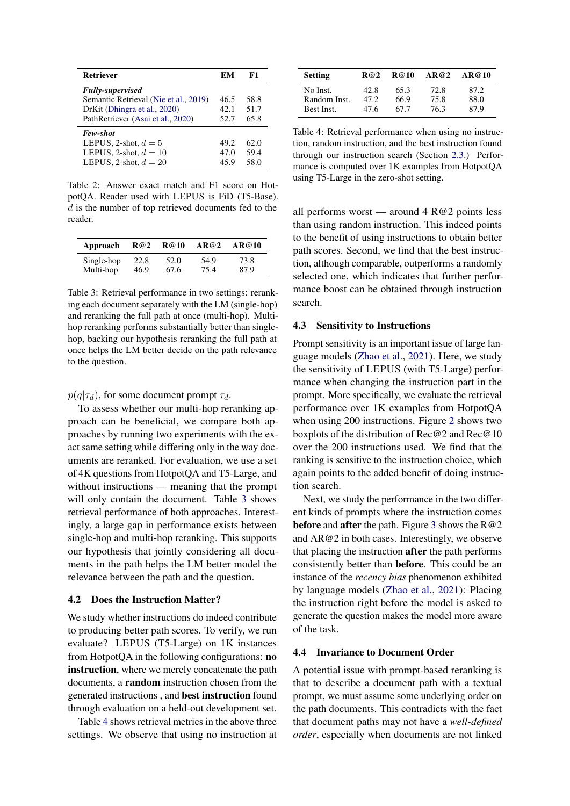<span id="page-6-1"></span>

| <b>Retriever</b>                                                                         | EМ                   | F1                   |
|------------------------------------------------------------------------------------------|----------------------|----------------------|
| <b>Fully-supervised</b><br>Semantic Retrieval (Nie et al., 2019)                         | 46.5                 | 58.8                 |
| DrKit (Dhingra et al., 2020)<br>PathRetriever (Asai et al., 2020)                        | 42.1<br>52.7         | 51.7<br>65.8         |
| Few-shot<br>LEPUS, 2-shot, $d = 5$<br>LEPUS, 2-shot, $d = 10$<br>LEPUS, 2-shot, $d = 20$ | 49.2<br>47.0<br>45.9 | 62.0<br>59.4<br>58.0 |

Table 2: Answer exact match and F1 score on HotpotQA. Reader used with LEPUS is FiD (T5-Base). d is the number of top retrieved documents fed to the reader.

<span id="page-6-2"></span>

| Approach   | R@2  | R@10 | AR@2 | AR@10 |
|------------|------|------|------|-------|
| Single-hop | 22.8 | 52.0 | 54.9 | 73.8  |
| Multi-hop  | 46.9 | 67.6 | 75.4 | 87.9  |

Table 3: Retrieval performance in two settings: reranking each document separately with the LM (single-hop) and reranking the full path at once (multi-hop). Multihop reranking performs substantially better than singlehop, backing our hypothesis reranking the full path at once helps the LM better decide on the path relevance to the question.

# $p(q|\tau_d)$ , for some document prompt  $\tau_d$ .

To assess whether our multi-hop reranking approach can be beneficial, we compare both approaches by running two experiments with the exact same setting while differing only in the way documents are reranked. For evaluation, we use a set of 4K questions from HotpotQA and T5-Large, and without instructions — meaning that the prompt will only contain the document. Table [3](#page-6-2) shows retrieval performance of both approaches. Interestingly, a large gap in performance exists between single-hop and multi-hop reranking. This supports our hypothesis that jointly considering all documents in the path helps the LM better model the relevance between the path and the question.

#### <span id="page-6-0"></span>4.2 Does the Instruction Matter?

We study whether instructions do indeed contribute to producing better path scores. To verify, we run evaluate? LEPUS (T5-Large) on 1K instances from HotpotQA in the following configurations: no instruction, where we merely concatenate the path documents, a random instruction chosen from the generated instructions , and best instruction found through evaluation on a held-out development set.

Table [4](#page-6-3) shows retrieval metrics in the above three settings. We observe that using no instruction at

<span id="page-6-3"></span>

| <b>Setting</b> | R@2  | R@10 | AR@2 | AR@10 |
|----------------|------|------|------|-------|
| No Inst.       | 42.8 | 65.3 | 72.8 | 87.2  |
| Random Inst.   | 47.2 | 66.9 | 75.8 | 88.0  |
| Best Inst.     | 47.6 | 67 7 | 76.3 | 87.9  |

Table 4: Retrieval performance when using no instruction, random instruction, and the best instruction found through our instruction search (Section [2.3.](#page-2-5)) Performance is computed over 1K examples from HotpotQA using T5-Large in the zero-shot setting.

all performs worst — around  $4 R@2$  points less than using random instruction. This indeed points to the benefit of using instructions to obtain better path scores. Second, we find that the best instruction, although comparable, outperforms a randomly selected one, which indicates that further performance boost can be obtained through instruction search.

### 4.3 Sensitivity to Instructions

Prompt sensitivity is an important issue of large language models [\(Zhao et al.,](#page-10-13) [2021\)](#page-10-13). Here, we study the sensitivity of LEPUS (with T5-Large) performance when changing the instruction part in the prompt. More specifically, we evaluate the retrieval performance over 1K examples from HotpotQA when using 200 instructions. Figure [2](#page-7-0) shows two boxplots of the distribution of Rec@2 and Rec@10 over the 200 instructions used. We find that the ranking is sensitive to the instruction choice, which again points to the added benefit of doing instruction search.

Next, we study the performance in the two different kinds of prompts where the instruction comes **before** and **after** the path. Figure [3](#page-7-1) shows the  $R@2$ and AR@2 in both cases. Interestingly, we observe that placing the instruction after the path performs consistently better than before. This could be an instance of the *recency bias* phenomenon exhibited by language models [\(Zhao et al.,](#page-10-13) [2021\)](#page-10-13): Placing the instruction right before the model is asked to generate the question makes the model more aware of the task.

### 4.4 Invariance to Document Order

A potential issue with prompt-based reranking is that to describe a document path with a textual prompt, we must assume some underlying order on the path documents. This contradicts with the fact that document paths may not have a *well-defined order*, especially when documents are not linked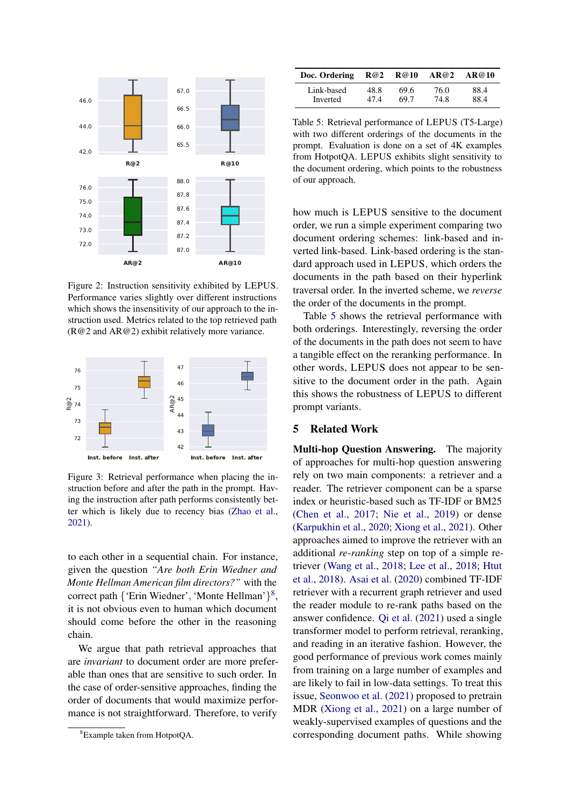<span id="page-7-0"></span>

Figure 2: Instruction sensitivity exhibited by LEPUS. Performance varies slightly over different instructions which shows the insensitivity of our approach to the instruction used. Metrics related to the top retrieved path (R@2 and AR@2) exhibit relatively more variance.

<span id="page-7-1"></span>

Figure 3: Retrieval performance when placing the instruction before and after the path in the prompt. Having the instruction after path performs consistently better which is likely due to recency bias [\(Zhao et al.,](#page-10-13) [2021\)](#page-10-13).

to each other in a sequential chain. For instance, given the question *"Are both Erin Wiedner and Monte Hellman American film directors?"* with the correct path {'Erin Wiedner', 'Monte Hellman'}<sup>[8](#page-7-2)</sup>, it is not obvious even to human which document should come before the other in the reasoning chain.

We argue that path retrieval approaches that are *invariant* to document order are more preferable than ones that are sensitive to such order. In the case of order-sensitive approaches, finding the order of documents that would maximize performance is not straightforward. Therefore, to verify

<span id="page-7-3"></span>

| Doc. Ordering $R@2 \t R@10$ |      |      | AR@2 | AR@10 |
|-----------------------------|------|------|------|-------|
| Link-based                  | 48.8 | 69.6 | 76.0 | 88.4  |
| Inverted                    | 474  | 69.7 | 74.8 | 88.4  |

Table 5: Retrieval performance of LEPUS (T5-Large) with two different orderings of the documents in the prompt. Evaluation is done on a set of 4K examples from HotpotQA. LEPUS exhibits slight sensitivity to the document ordering, which points to the robustness of our approach.

how much is LEPUS sensitive to the document order, we run a simple experiment comparing two document ordering schemes: link-based and inverted link-based. Link-based ordering is the standard approach used in LEPUS, which orders the documents in the path based on their hyperlink traversal order. In the inverted scheme, we *reverse* the order of the documents in the prompt.

Table [5](#page-7-3) shows the retrieval performance with both orderings. Interestingly, reversing the order of the documents in the path does not seem to have a tangible effect on the reranking performance. In other words, LEPUS does not appear to be sensitive to the document order in the path. Again this shows the robustness of LEPUS to different prompt variants.

### 5 Related Work

Multi-hop Question Answering. The majority of approaches for multi-hop question answering rely on two main components: a retriever and a reader. The retriever component can be a sparse index or heuristic-based such as TF-IDF or BM25 [\(Chen et al.,](#page-8-7) [2017;](#page-8-7) [Nie et al.,](#page-9-11) [2019\)](#page-9-11) or dense [\(Karpukhin et al.,](#page-9-4) [2020;](#page-9-4) [Xiong et al.,](#page-10-1) [2021\)](#page-10-1). Other approaches aimed to improve the retriever with an additional *re-ranking* step on top of a simple retriever [\(Wang et al.,](#page-10-17) [2018;](#page-10-17) [Lee et al.,](#page-9-12) [2018;](#page-9-12) [Htut](#page-9-13) [et al.,](#page-9-13) [2018\)](#page-9-13). [Asai et al.](#page-8-0) [\(2020\)](#page-8-0) combined TF-IDF retriever with a recurrent graph retriever and used the reader module to re-rank paths based on the answer confidence. [Qi et al.](#page-10-0) [\(2021\)](#page-10-0) used a single transformer model to perform retrieval, reranking, and reading in an iterative fashion. However, the good performance of previous work comes mainly from training on a large number of examples and are likely to fail in low-data settings. To treat this issue, [Seonwoo et al.](#page-10-5) [\(2021\)](#page-10-5) proposed to pretrain MDR [\(Xiong et al.,](#page-10-1) [2021\)](#page-10-1) on a large number of weakly-supervised examples of questions and the corresponding document paths. While showing

<span id="page-7-2"></span><sup>8</sup>Example taken from HotpotQA.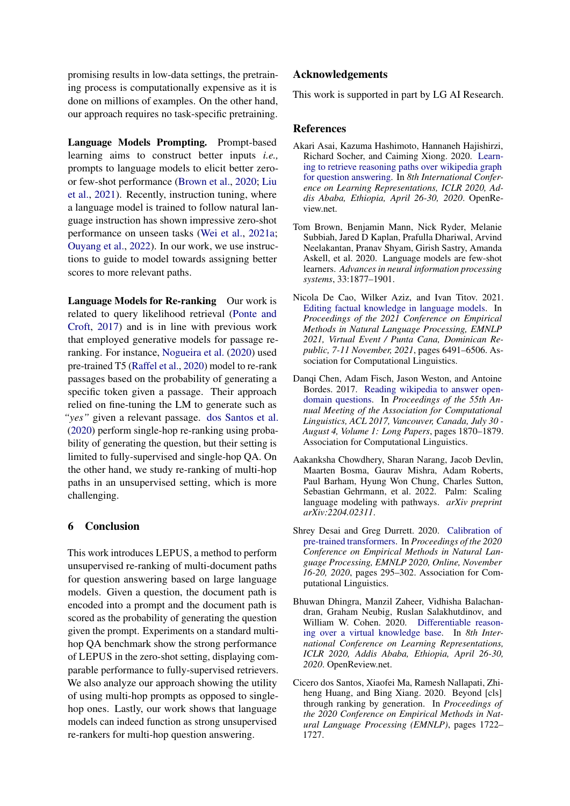promising results in low-data settings, the pretraining process is computationally expensive as it is done on millions of examples. On the other hand, our approach requires no task-specific pretraining.

Language Models Prompting. Prompt-based learning aims to construct better inputs *i.e.,* prompts to language models to elicit better zeroor few-shot performance [\(Brown et al.,](#page-8-1) [2020;](#page-8-1) [Liu](#page-9-14) [et al.,](#page-9-14) [2021\)](#page-9-14). Recently, instruction tuning, where a language model is trained to follow natural language instruction has shown impressive zero-shot performance on unseen tasks [\(Wei et al.,](#page-10-4) [2021a;](#page-10-4) [Ouyang et al.,](#page-9-7) [2022\)](#page-9-7). In our work, we use instructions to guide to model towards assigning better scores to more relevant paths.

Language Models for Re-ranking Our work is related to query likelihood retrieval [\(Ponte and](#page-9-15) [Croft,](#page-9-15) [2017\)](#page-9-15) and is in line with previous work that employed generative models for passage reranking. For instance, [Nogueira et al.](#page-9-16) [\(2020\)](#page-9-16) used pre-trained T5 [\(Raffel et al.,](#page-10-15) [2020\)](#page-10-15) model to re-rank passages based on the probability of generating a specific token given a passage. Their approach relied on fine-tuning the LM to generate such as *"yes"* given a relevant passage. [dos Santos et al.](#page-8-4) [\(2020\)](#page-8-4) perform single-hop re-ranking using probability of generating the question, but their setting is limited to fully-supervised and single-hop QA. On the other hand, we study re-ranking of multi-hop paths in an unsupervised setting, which is more challenging.

### 6 Conclusion

This work introduces LEPUS, a method to perform unsupervised re-ranking of multi-document paths for question answering based on large language models. Given a question, the document path is encoded into a prompt and the document path is scored as the probability of generating the question given the prompt. Experiments on a standard multihop QA benchmark show the strong performance of LEPUS in the zero-shot setting, displaying comparable performance to fully-supervised retrievers. We also analyze our approach showing the utility of using multi-hop prompts as opposed to singlehop ones. Lastly, our work shows that language models can indeed function as strong unsupervised re-rankers for multi-hop question answering.

## Acknowledgements

This work is supported in part by LG AI Research.

### References

- <span id="page-8-0"></span>Akari Asai, Kazuma Hashimoto, Hannaneh Hajishirzi, Richard Socher, and Caiming Xiong. 2020. [Learn](https://openreview.net/forum?id=SJgVHkrYDH)[ing to retrieve reasoning paths over wikipedia graph](https://openreview.net/forum?id=SJgVHkrYDH) [for question answering.](https://openreview.net/forum?id=SJgVHkrYDH) In *8th International Conference on Learning Representations, ICLR 2020, Addis Ababa, Ethiopia, April 26-30, 2020*. OpenReview.net.
- <span id="page-8-1"></span>Tom Brown, Benjamin Mann, Nick Ryder, Melanie Subbiah, Jared D Kaplan, Prafulla Dhariwal, Arvind Neelakantan, Pranav Shyam, Girish Sastry, Amanda Askell, et al. 2020. Language models are few-shot learners. *Advances in neural information processing systems*, 33:1877–1901.
- <span id="page-8-3"></span>Nicola De Cao, Wilker Aziz, and Ivan Titov. 2021. [Editing factual knowledge in language models.](https://doi.org/10.18653/v1/2021.emnlp-main.522) In *Proceedings of the 2021 Conference on Empirical Methods in Natural Language Processing, EMNLP 2021, Virtual Event / Punta Cana, Dominican Republic, 7-11 November, 2021*, pages 6491–6506. Association for Computational Linguistics.
- <span id="page-8-7"></span>Dangi Chen, Adam Fisch, Jason Weston, and Antoine Bordes. 2017. [Reading wikipedia to answer open](https://doi.org/10.18653/v1/P17-1171)[domain questions.](https://doi.org/10.18653/v1/P17-1171) In *Proceedings of the 55th Annual Meeting of the Association for Computational Linguistics, ACL 2017, Vancouver, Canada, July 30 - August 4, Volume 1: Long Papers*, pages 1870–1879. Association for Computational Linguistics.
- <span id="page-8-2"></span>Aakanksha Chowdhery, Sharan Narang, Jacob Devlin, Maarten Bosma, Gaurav Mishra, Adam Roberts, Paul Barham, Hyung Won Chung, Charles Sutton, Sebastian Gehrmann, et al. 2022. Palm: Scaling language modeling with pathways. *arXiv preprint arXiv:2204.02311*.
- <span id="page-8-5"></span>Shrey Desai and Greg Durrett. 2020. [Calibration of](https://doi.org/10.18653/v1/2020.emnlp-main.21) [pre-trained transformers.](https://doi.org/10.18653/v1/2020.emnlp-main.21) In *Proceedings of the 2020 Conference on Empirical Methods in Natural Language Processing, EMNLP 2020, Online, November 16-20, 2020*, pages 295–302. Association for Computational Linguistics.
- <span id="page-8-6"></span>Bhuwan Dhingra, Manzil Zaheer, Vidhisha Balachandran, Graham Neubig, Ruslan Salakhutdinov, and William W. Cohen. 2020. [Differentiable reason](https://openreview.net/forum?id=SJxstlHFPH)[ing over a virtual knowledge base.](https://openreview.net/forum?id=SJxstlHFPH) In *8th International Conference on Learning Representations, ICLR 2020, Addis Ababa, Ethiopia, April 26-30, 2020*. OpenReview.net.
- <span id="page-8-4"></span>Cicero dos Santos, Xiaofei Ma, Ramesh Nallapati, Zhiheng Huang, and Bing Xiang. 2020. Beyond [cls] through ranking by generation. In *Proceedings of the 2020 Conference on Empirical Methods in Natural Language Processing (EMNLP)*, pages 1722– 1727.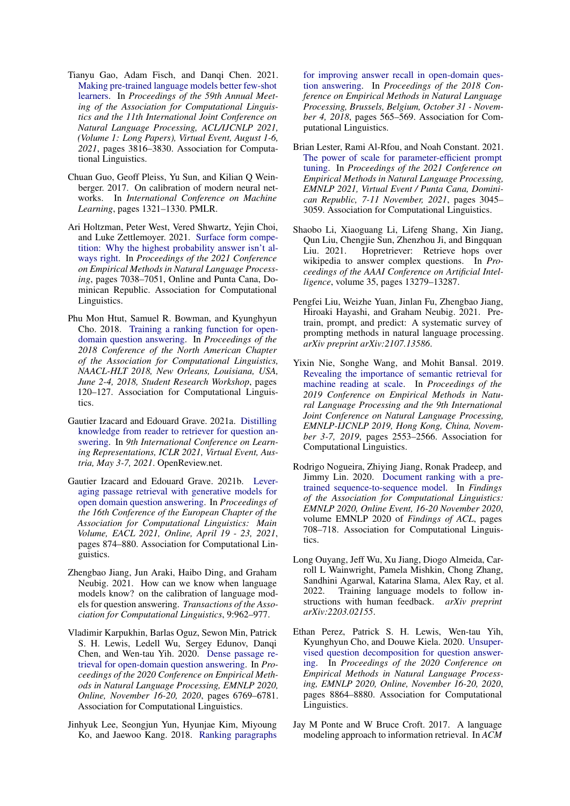- <span id="page-9-8"></span>Tianyu Gao, Adam Fisch, and Danqi Chen. 2021. [Making pre-trained language models better few-shot](https://doi.org/10.18653/v1/2021.acl-long.295) [learners.](https://doi.org/10.18653/v1/2021.acl-long.295) In *Proceedings of the 59th Annual Meeting of the Association for Computational Linguistics and the 11th International Joint Conference on Natural Language Processing, ACL/IJCNLP 2021, (Volume 1: Long Papers), Virtual Event, August 1-6, 2021*, pages 3816–3830. Association for Computational Linguistics.
- <span id="page-9-5"></span>Chuan Guo, Geoff Pleiss, Yu Sun, and Kilian Q Weinberger. 2017. On calibration of modern neural networks. In *International Conference on Machine Learning*, pages 1321–1330. PMLR.
- <span id="page-9-3"></span>Ari Holtzman, Peter West, Vered Shwartz, Yejin Choi, and Luke Zettlemoyer. 2021. [Surface form compe](https://doi.org/10.18653/v1/2021.emnlp-main.564)[tition: Why the highest probability answer isn't al](https://doi.org/10.18653/v1/2021.emnlp-main.564)[ways right.](https://doi.org/10.18653/v1/2021.emnlp-main.564) In *Proceedings of the 2021 Conference on Empirical Methods in Natural Language Processing*, pages 7038–7051, Online and Punta Cana, Dominican Republic. Association for Computational Linguistics.
- <span id="page-9-13"></span>Phu Mon Htut, Samuel R. Bowman, and Kyunghyun Cho. 2018. [Training a ranking function for open](https://doi.org/10.18653/v1/n18-4017)[domain question answering.](https://doi.org/10.18653/v1/n18-4017) In *Proceedings of the 2018 Conference of the North American Chapter of the Association for Computational Linguistics, NAACL-HLT 2018, New Orleans, Louisiana, USA, June 2-4, 2018, Student Research Workshop*, pages 120–127. Association for Computational Linguistics.
- <span id="page-9-2"></span>Gautier Izacard and Edouard Grave. 2021a. [Distilling](https://openreview.net/forum?id=NTEz-6wysdb) [knowledge from reader to retriever for question an](https://openreview.net/forum?id=NTEz-6wysdb)[swering.](https://openreview.net/forum?id=NTEz-6wysdb) In *9th International Conference on Learning Representations, ICLR 2021, Virtual Event, Austria, May 3-7, 2021*. OpenReview.net.
- <span id="page-9-10"></span>Gautier Izacard and Edouard Grave. 2021b. [Lever](https://doi.org/10.18653/v1/2021.eacl-main.74)[aging passage retrieval with generative models for](https://doi.org/10.18653/v1/2021.eacl-main.74) [open domain question answering.](https://doi.org/10.18653/v1/2021.eacl-main.74) In *Proceedings of the 16th Conference of the European Chapter of the Association for Computational Linguistics: Main Volume, EACL 2021, Online, April 19 - 23, 2021*, pages 874–880. Association for Computational Linguistics.
- <span id="page-9-6"></span>Zhengbao Jiang, Jun Araki, Haibo Ding, and Graham Neubig. 2021. How can we know when language models know? on the calibration of language models for question answering. *Transactions of the Association for Computational Linguistics*, 9:962–977.
- <span id="page-9-4"></span>Vladimir Karpukhin, Barlas Oguz, Sewon Min, Patrick S. H. Lewis, Ledell Wu, Sergey Edunov, Danqi Chen, and Wen-tau Yih. 2020. [Dense passage re](https://doi.org/10.18653/v1/2020.emnlp-main.550)[trieval for open-domain question answering.](https://doi.org/10.18653/v1/2020.emnlp-main.550) In *Proceedings of the 2020 Conference on Empirical Methods in Natural Language Processing, EMNLP 2020, Online, November 16-20, 2020*, pages 6769–6781. Association for Computational Linguistics.
- <span id="page-9-12"></span>Jinhyuk Lee, Seongjun Yun, Hyunjae Kim, Miyoung Ko, and Jaewoo Kang. 2018. [Ranking paragraphs](https://doi.org/10.18653/v1/d18-1053)

[for improving answer recall in open-domain ques](https://doi.org/10.18653/v1/d18-1053)[tion answering.](https://doi.org/10.18653/v1/d18-1053) In *Proceedings of the 2018 Conference on Empirical Methods in Natural Language Processing, Brussels, Belgium, October 31 - November 4, 2018*, pages 565–569. Association for Computational Linguistics.

- <span id="page-9-9"></span>Brian Lester, Rami Al-Rfou, and Noah Constant. 2021. [The power of scale for parameter-efficient prompt](https://doi.org/10.18653/v1/2021.emnlp-main.243) [tuning.](https://doi.org/10.18653/v1/2021.emnlp-main.243) In *Proceedings of the 2021 Conference on Empirical Methods in Natural Language Processing, EMNLP 2021, Virtual Event / Punta Cana, Dominican Republic, 7-11 November, 2021*, pages 3045– 3059. Association for Computational Linguistics.
- <span id="page-9-1"></span>Shaobo Li, Xiaoguang Li, Lifeng Shang, Xin Jiang, Qun Liu, Chengjie Sun, Zhenzhou Ji, and Bingquan Liu. 2021. Hopretriever: Retrieve hops over wikipedia to answer complex questions. In *Proceedings of the AAAI Conference on Artificial Intelligence*, volume 35, pages 13279–13287.
- <span id="page-9-14"></span>Pengfei Liu, Weizhe Yuan, Jinlan Fu, Zhengbao Jiang, Hiroaki Hayashi, and Graham Neubig. 2021. Pretrain, prompt, and predict: A systematic survey of prompting methods in natural language processing. *arXiv preprint arXiv:2107.13586*.
- <span id="page-9-11"></span>Yixin Nie, Songhe Wang, and Mohit Bansal. 2019. [Revealing the importance of semantic retrieval for](https://doi.org/10.18653/v1/D19-1258) [machine reading at scale.](https://doi.org/10.18653/v1/D19-1258) In *Proceedings of the 2019 Conference on Empirical Methods in Natural Language Processing and the 9th International Joint Conference on Natural Language Processing, EMNLP-IJCNLP 2019, Hong Kong, China, November 3-7, 2019*, pages 2553–2566. Association for Computational Linguistics.
- <span id="page-9-16"></span>Rodrigo Nogueira, Zhiying Jiang, Ronak Pradeep, and Jimmy Lin. 2020. [Document ranking with a pre](https://doi.org/10.18653/v1/2020.findings-emnlp.63)[trained sequence-to-sequence model.](https://doi.org/10.18653/v1/2020.findings-emnlp.63) In *Findings of the Association for Computational Linguistics: EMNLP 2020, Online Event, 16-20 November 2020*, volume EMNLP 2020 of *Findings of ACL*, pages 708–718. Association for Computational Linguistics.
- <span id="page-9-7"></span>Long Ouyang, Jeff Wu, Xu Jiang, Diogo Almeida, Carroll L Wainwright, Pamela Mishkin, Chong Zhang, Sandhini Agarwal, Katarina Slama, Alex Ray, et al. 2022. Training language models to follow instructions with human feedback. *arXiv preprint arXiv:2203.02155*.
- <span id="page-9-0"></span>Ethan Perez, Patrick S. H. Lewis, Wen-tau Yih, Kyunghyun Cho, and Douwe Kiela. 2020. [Unsuper](https://doi.org/10.18653/v1/2020.emnlp-main.713)[vised question decomposition for question answer](https://doi.org/10.18653/v1/2020.emnlp-main.713)[ing.](https://doi.org/10.18653/v1/2020.emnlp-main.713) In *Proceedings of the 2020 Conference on Empirical Methods in Natural Language Processing, EMNLP 2020, Online, November 16-20, 2020*, pages 8864–8880. Association for Computational Linguistics.
- <span id="page-9-15"></span>Jay M Ponte and W Bruce Croft. 2017. A language modeling approach to information retrieval. In *ACM*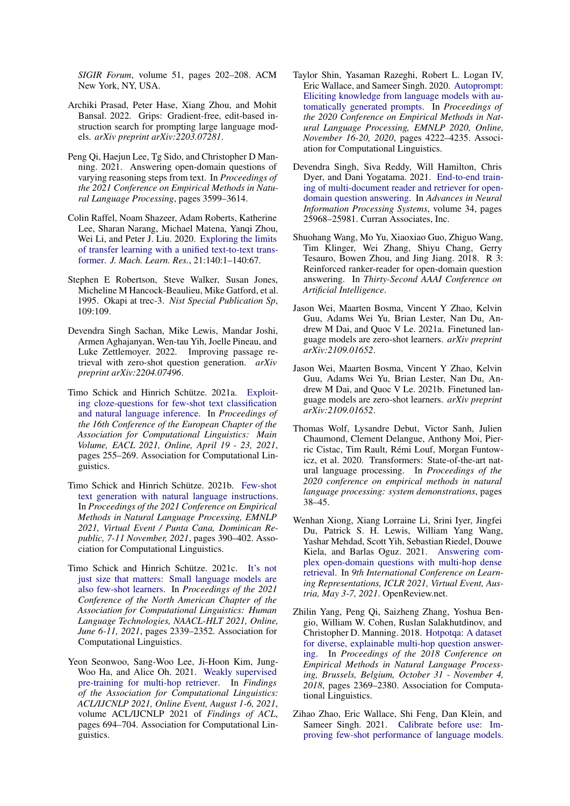*SIGIR Forum*, volume 51, pages 202–208. ACM New York, NY, USA.

- <span id="page-10-9"></span>Archiki Prasad, Peter Hase, Xiang Zhou, and Mohit Bansal. 2022. Grips: Gradient-free, edit-based instruction search for prompting large language models. *arXiv preprint arXiv:2203.07281*.
- <span id="page-10-0"></span>Peng Qi, Haejun Lee, Tg Sido, and Christopher D Manning. 2021. Answering open-domain questions of varying reasoning steps from text. In *Proceedings of the 2021 Conference on Empirical Methods in Natural Language Processing*, pages 3599–3614.
- <span id="page-10-15"></span>Colin Raffel, Noam Shazeer, Adam Roberts, Katherine Lee, Sharan Narang, Michael Matena, Yanqi Zhou, Wei Li, and Peter J. Liu. 2020. [Exploring the limits](http://jmlr.org/papers/v21/20-074.html) [of transfer learning with a unified text-to-text trans](http://jmlr.org/papers/v21/20-074.html)[former.](http://jmlr.org/papers/v21/20-074.html) *J. Mach. Learn. Res.*, 21:140:1–140:67.
- <span id="page-10-16"></span>Stephen E Robertson, Steve Walker, Susan Jones, Micheline M Hancock-Beaulieu, Mike Gatford, et al. 1995. Okapi at trec-3. *Nist Special Publication Sp*, 109:109.
- <span id="page-10-6"></span>Devendra Singh Sachan, Mike Lewis, Mandar Joshi, Armen Aghajanyan, Wen-tau Yih, Joelle Pineau, and Luke Zettlemoyer. 2022. Improving passage retrieval with zero-shot question generation. *arXiv preprint arXiv:2204.07496*.
- <span id="page-10-10"></span>Timo Schick and Hinrich Schütze. 2021a. [Exploit](https://doi.org/10.18653/v1/2021.eacl-main.20)[ing cloze-questions for few-shot text classification](https://doi.org/10.18653/v1/2021.eacl-main.20) [and natural language inference.](https://doi.org/10.18653/v1/2021.eacl-main.20) In *Proceedings of the 16th Conference of the European Chapter of the Association for Computational Linguistics: Main Volume, EACL 2021, Online, April 19 - 23, 2021*, pages 255–269. Association for Computational Linguistics.
- <span id="page-10-12"></span>Timo Schick and Hinrich Schütze. 2021b. [Few-shot](https://doi.org/10.18653/v1/2021.emnlp-main.32) [text generation with natural language instructions.](https://doi.org/10.18653/v1/2021.emnlp-main.32) In *Proceedings of the 2021 Conference on Empirical Methods in Natural Language Processing, EMNLP 2021, Virtual Event / Punta Cana, Dominican Republic, 7-11 November, 2021*, pages 390–402. Association for Computational Linguistics.
- <span id="page-10-11"></span>Timo Schick and Hinrich Schütze. 2021c. [It's not](https://doi.org/10.18653/v1/2021.naacl-main.185) [just size that matters: Small language models are](https://doi.org/10.18653/v1/2021.naacl-main.185) [also few-shot learners.](https://doi.org/10.18653/v1/2021.naacl-main.185) In *Proceedings of the 2021 Conference of the North American Chapter of the Association for Computational Linguistics: Human Language Technologies, NAACL-HLT 2021, Online, June 6-11, 2021*, pages 2339–2352. Association for Computational Linguistics.
- <span id="page-10-5"></span>Yeon Seonwoo, Sang-Woo Lee, Ji-Hoon Kim, Jung-Woo Ha, and Alice Oh. 2021. [Weakly supervised](https://doi.org/10.18653/v1/2021.findings-acl.62) [pre-training for multi-hop retriever.](https://doi.org/10.18653/v1/2021.findings-acl.62) In *Findings of the Association for Computational Linguistics: ACL/IJCNLP 2021, Online Event, August 1-6, 2021*, volume ACL/IJCNLP 2021 of *Findings of ACL*, pages 694–704. Association for Computational Linguistics.
- <span id="page-10-8"></span>Taylor Shin, Yasaman Razeghi, Robert L. Logan IV, Eric Wallace, and Sameer Singh. 2020. [Autoprompt:](https://doi.org/10.18653/v1/2020.emnlp-main.346) [Eliciting knowledge from language models with au](https://doi.org/10.18653/v1/2020.emnlp-main.346)[tomatically generated prompts.](https://doi.org/10.18653/v1/2020.emnlp-main.346) In *Proceedings of the 2020 Conference on Empirical Methods in Natural Language Processing, EMNLP 2020, Online, November 16-20, 2020*, pages 4222–4235. Association for Computational Linguistics.
- <span id="page-10-2"></span>Devendra Singh, Siva Reddy, Will Hamilton, Chris Dyer, and Dani Yogatama. 2021. [End-to-end train](https://proceedings.neurips.cc/paper/2021/file/da3fde159d754a2555eaa198d2d105b2-Paper.pdf)[ing of multi-document reader and retriever for open](https://proceedings.neurips.cc/paper/2021/file/da3fde159d754a2555eaa198d2d105b2-Paper.pdf)[domain question answering.](https://proceedings.neurips.cc/paper/2021/file/da3fde159d754a2555eaa198d2d105b2-Paper.pdf) In *Advances in Neural Information Processing Systems*, volume 34, pages 25968–25981. Curran Associates, Inc.
- <span id="page-10-17"></span>Shuohang Wang, Mo Yu, Xiaoxiao Guo, Zhiguo Wang, Tim Klinger, Wei Zhang, Shiyu Chang, Gerry Tesauro, Bowen Zhou, and Jing Jiang. 2018. R 3: Reinforced ranker-reader for open-domain question answering. In *Thirty-Second AAAI Conference on Artificial Intelligence*.
- <span id="page-10-4"></span>Jason Wei, Maarten Bosma, Vincent Y Zhao, Kelvin Guu, Adams Wei Yu, Brian Lester, Nan Du, Andrew M Dai, and Quoc V Le. 2021a. Finetuned language models are zero-shot learners. *arXiv preprint arXiv:2109.01652*.
- <span id="page-10-7"></span>Jason Wei, Maarten Bosma, Vincent Y Zhao, Kelvin Guu, Adams Wei Yu, Brian Lester, Nan Du, Andrew M Dai, and Quoc V Le. 2021b. Finetuned language models are zero-shot learners. *arXiv preprint arXiv:2109.01652*.
- <span id="page-10-14"></span>Thomas Wolf, Lysandre Debut, Victor Sanh, Julien Chaumond, Clement Delangue, Anthony Moi, Pierric Cistac, Tim Rault, Rémi Louf, Morgan Funtowicz, et al. 2020. Transformers: State-of-the-art natural language processing. In *Proceedings of the 2020 conference on empirical methods in natural language processing: system demonstrations*, pages 38–45.
- <span id="page-10-1"></span>Wenhan Xiong, Xiang Lorraine Li, Srini Iyer, Jingfei Du, Patrick S. H. Lewis, William Yang Wang, Yashar Mehdad, Scott Yih, Sebastian Riedel, Douwe Kiela, and Barlas Oguz. 2021. [Answering com](https://openreview.net/forum?id=EMHoBG0avc1)[plex open-domain questions with multi-hop dense](https://openreview.net/forum?id=EMHoBG0avc1) [retrieval.](https://openreview.net/forum?id=EMHoBG0avc1) In *9th International Conference on Learning Representations, ICLR 2021, Virtual Event, Austria, May 3-7, 2021*. OpenReview.net.
- <span id="page-10-3"></span>Zhilin Yang, Peng Qi, Saizheng Zhang, Yoshua Bengio, William W. Cohen, Ruslan Salakhutdinov, and Christopher D. Manning. 2018. [Hotpotqa: A dataset](https://doi.org/10.18653/v1/d18-1259) [for diverse, explainable multi-hop question answer](https://doi.org/10.18653/v1/d18-1259)[ing.](https://doi.org/10.18653/v1/d18-1259) In *Proceedings of the 2018 Conference on Empirical Methods in Natural Language Processing, Brussels, Belgium, October 31 - November 4, 2018*, pages 2369–2380. Association for Computational Linguistics.
- <span id="page-10-13"></span>Zihao Zhao, Eric Wallace, Shi Feng, Dan Klein, and Sameer Singh. 2021. [Calibrate before use: Im](http://proceedings.mlr.press/v139/zhao21c.html)[proving few-shot performance of language models.](http://proceedings.mlr.press/v139/zhao21c.html)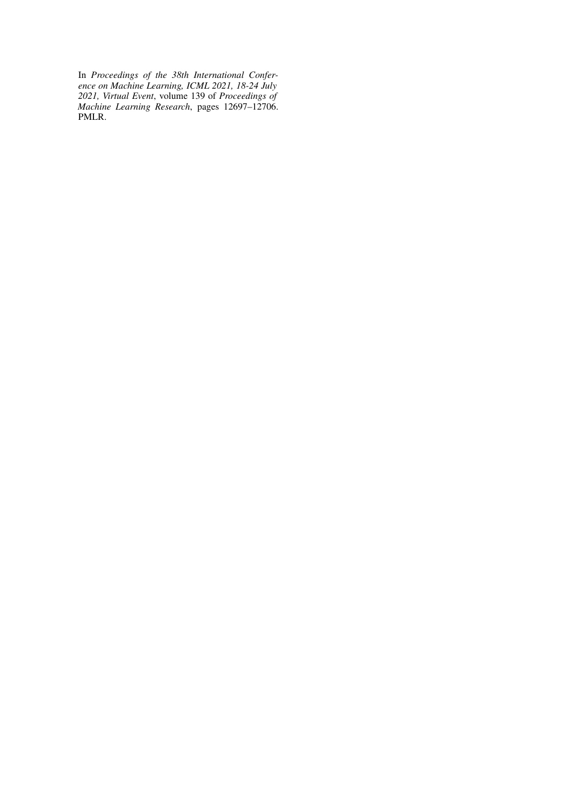In *Proceedings of the 38th International Conference on Machine Learning, ICML 2021, 18-24 July 2021, Virtual Event*, volume 139 of *Proceedings of Machine Learning Research*, pages 12697–12706. PMLR.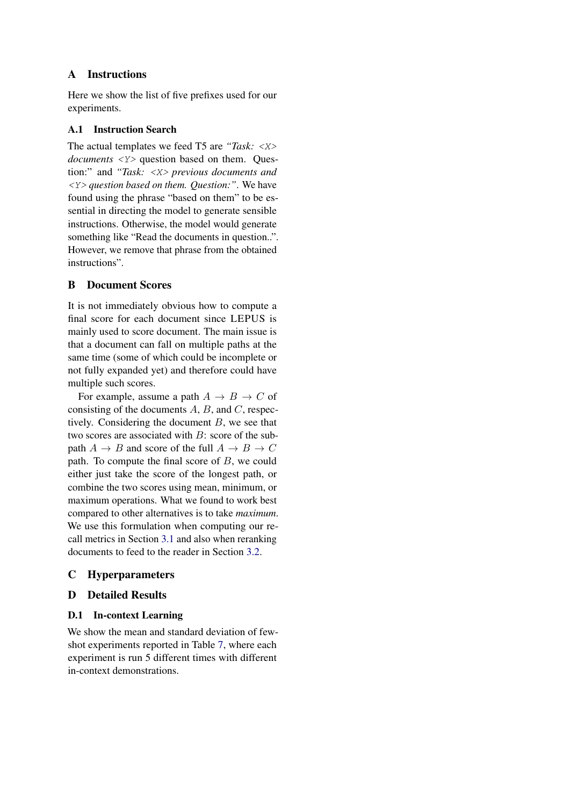# A Instructions

Here we show the list of five prefixes used for our experiments.

### A.1 Instruction Search

The actual templates we feed T5 are *"Task:* <X> *documents* <*Y*> question based on them. Question:" and *"Task:* <X> *previous documents and* <Y> *question based on them. Question:"*. We have found using the phrase "based on them" to be essential in directing the model to generate sensible instructions. Otherwise, the model would generate something like "Read the documents in question..". However, we remove that phrase from the obtained instructions".

# <span id="page-12-0"></span>B Document Scores

It is not immediately obvious how to compute a final score for each document since LEPUS is mainly used to score document. The main issue is that a document can fall on multiple paths at the same time (some of which could be incomplete or not fully expanded yet) and therefore could have multiple such scores.

For example, assume a path  $A \rightarrow B \rightarrow C$  of consisting of the documents  $A$ ,  $B$ , and  $C$ , respectively. Considering the document  $B$ , we see that two scores are associated with  $B$ : score of the subpath  $A \to B$  and score of the full  $A \to B \to C$ path. To compute the final score of B, we could either just take the score of the longest path, or combine the two scores using mean, minimum, or maximum operations. What we found to work best compared to other alternatives is to take *maximum*. We use this formulation when computing our recall metrics in Section [3.1](#page-4-0) and also when reranking documents to feed to the reader in Section [3.2.](#page-5-0)

# C Hyperparameters

# D Detailed Results

# <span id="page-12-1"></span>D.1 In-context Learning

We show the mean and standard deviation of fewshot experiments reported in Table [7,](#page-13-1) where each experiment is run 5 different times with different in-context demonstrations.